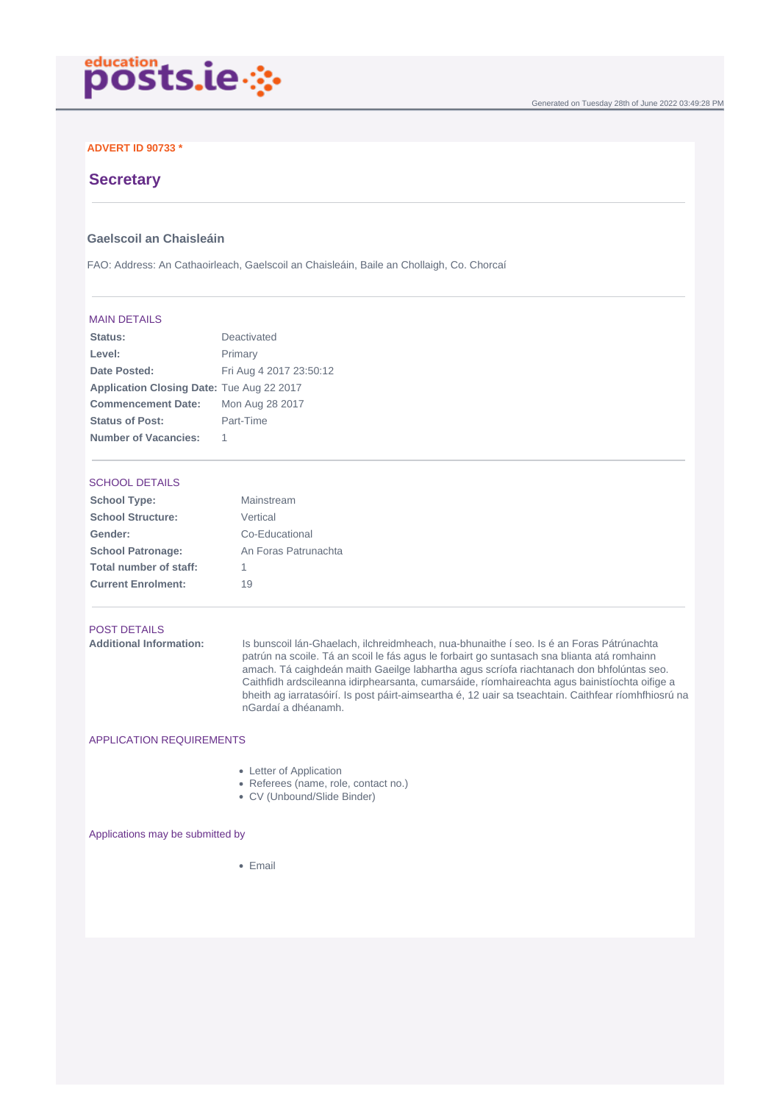

## **ADVERT ID 90733 \***

# **Secretary**

## **Gaelscoil an Chaisleáin**

FAO: Address: An Cathaoirleach, Gaelscoil an Chaisleáin, Baile an Chollaigh, Co. Chorcaí

#### MAIN DETAILS

| Status:                                   | Deactivated             |
|-------------------------------------------|-------------------------|
| Level:                                    | Primary                 |
| Date Posted:                              | Fri Aug 4 2017 23:50:12 |
| Application Closing Date: Tue Aug 22 2017 |                         |
| <b>Commencement Date:</b>                 | Mon Aug 28 2017         |
| <b>Status of Post:</b>                    | Part-Time               |
| <b>Number of Vacancies:</b>               |                         |

### SCHOOL DETAILS

| <b>School Type:</b>       | Mainstream           |
|---------------------------|----------------------|
| <b>School Structure:</b>  | Vertical             |
| Gender:                   | Co-Educational       |
| <b>School Patronage:</b>  | An Foras Patrunachta |
| Total number of staff:    | 1                    |
| <b>Current Enrolment:</b> | 19                   |

### POST DETAILS

**Additional Information:** Is bunscoil lán-Ghaelach, ilchreidmheach, nua-bhunaithe í seo. Is é an Foras Pátrúnachta patrún na scoile. Tá an scoil le fás agus le forbairt go suntasach sna blianta atá romhainn amach. Tá caighdeán maith Gaeilge labhartha agus scríofa riachtanach don bhfolúntas seo. Caithfidh ardscileanna idirphearsanta, cumarsáide, ríomhaireachta agus bainistíochta oifige a bheith ag iarratasóirí. Is post páirt-aimseartha é, 12 uair sa tseachtain. Caithfear ríomhfhiosrú na nGardaí a dhéanamh.

## APPLICATION REQUIREMENTS

- Letter of Application
- Referees (name, role, contact no.)
- CV (Unbound/Slide Binder)

Applications may be submitted by

 $\bullet$  Email